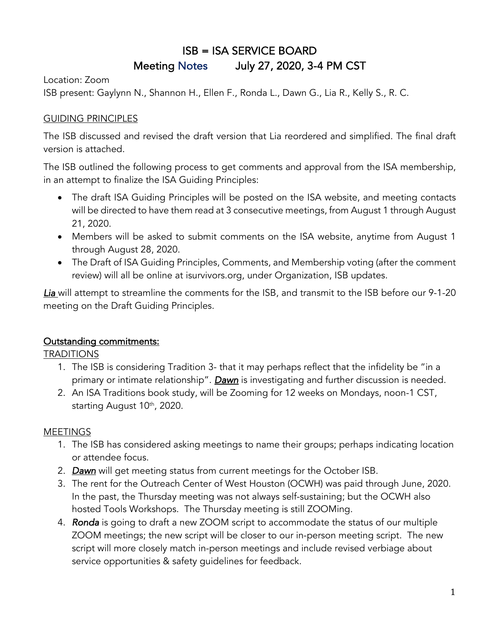# ISB = ISA SERVICE BOARD Meeting Notes July 27, 2020, 3-4 PM CST

Location: Zoom ISB present: Gaylynn N., Shannon H., Ellen F., Ronda L., Dawn G., Lia R., Kelly S., R. C.

## GUIDING PRINCIPLES

The ISB discussed and revised the draft version that Lia reordered and simplified. The final draft version is attached.

The ISB outlined the following process to get comments and approval from the ISA membership, in an attempt to finalize the ISA Guiding Principles:

- The draft ISA Guiding Principles will be posted on the ISA website, and meeting contacts will be directed to have them read at 3 consecutive meetings, from August 1 through August 21, 2020.
- Members will be asked to submit comments on the ISA website, anytime from August 1 through August 28, 2020.
- The Draft of ISA Guiding Principles, Comments, and Membership voting (after the comment review) will all be online at isurvivors.org, under Organization, ISB updates.

*Lia* will attempt to streamline the comments for the ISB, and transmit to the ISB before our 9-1-20 meeting on the Draft Guiding Principles.

## Outstanding commitments:

TRADITIONS

- 1. The ISB is considering Tradition 3- that it may perhaps reflect that the infidelity be "in a primary or intimate relationship". *Dawn* is investigating and further discussion is needed.
- 2. An ISA Traditions book study, will be Zooming for 12 weeks on Mondays, noon-1 CST, starting August 10<sup>th</sup>, 2020.

## MEETINGS

- 1. The ISB has considered asking meetings to name their groups; perhaps indicating location or attendee focus.
- 2. *Dawn* will get meeting status from current meetings for the October ISB.
- 3. The rent for the Outreach Center of West Houston (OCWH) was paid through June, 2020. In the past, the Thursday meeting was not always self-sustaining; but the OCWH also hosted Tools Workshops. The Thursday meeting is still ZOOMing.
- 4. *Ronda* is going to draft a new ZOOM script to accommodate the status of our multiple ZOOM meetings; the new script will be closer to our in-person meeting script. The new script will more closely match in-person meetings and include revised verbiage about service opportunities & safety guidelines for feedback.